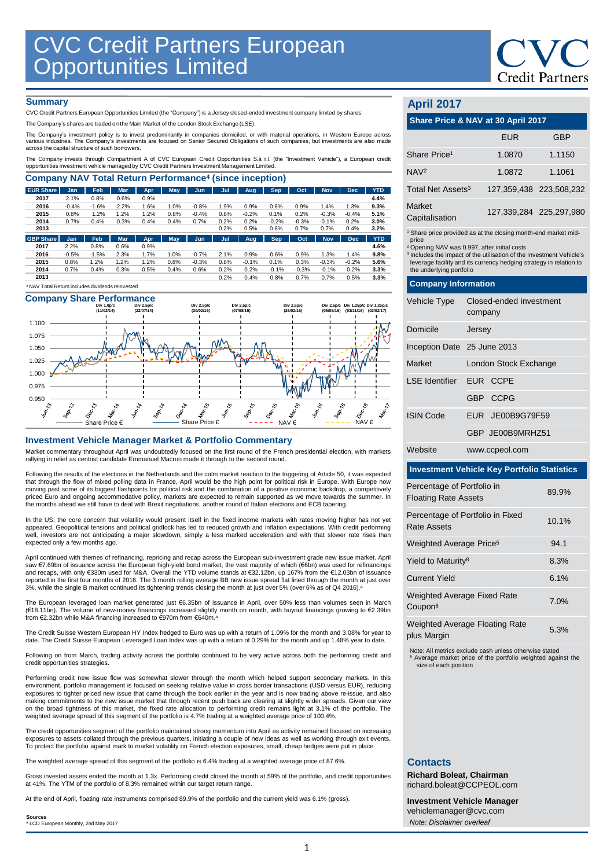

#### **Summary**

CVC Credit Partners European Opportunities Limited (the "Company") is a Jersey closed-ended investment company limited by shares.

The Company's shares are traded on the Main Market of the London Stock Exchange (LSE).

The Company's investment policy is to invest predominantly in companies domiciled, or with material operations, in Westem Europe across<br>various industries. The Company's investments are focused on Senior Secured Obligation

The Company invests through Compartment A of CVC European Credit Opportunities S.à r.l. (the "Investment Vehicle"), a European credit<br>opportunities investment vehicle managed by CVC Credit Partners Investment Management Li

| <b>EUR Share</b> | <b>Jan</b> | Feb     | <b>Mar</b> | Apr. | <b>May</b> | Jun.    | Jul  | Aug     | <b>Sep</b> | Oct     | <b>Nov</b> | <b>Dec</b> | <b>YTD</b> |
|------------------|------------|---------|------------|------|------------|---------|------|---------|------------|---------|------------|------------|------------|
| 2017             | 2.1%       | 0.8%    | 0.6%       | 0.9% |            |         |      |         |            |         |            |            | 4.4%       |
| 2016             | $-0.4%$    | $-1.6%$ | 2.2%       | 1.6% | 1.0%       | $-0.8%$ | 1.9% | 0.9%    | 0.6%       | 0.9%    | 1.4%       | 1.3%       | 9.3%       |
| 2015             | 0.8%       | 1.2%    | 1.2%       | 1.2% | 0.8%       | $-0.4%$ | 0.8% | $-0.2%$ | 0.1%       | 0.2%    | $-0.3%$    | $-0.4%$    | 5.1%       |
| 2014             | 0.7%       | 0.4%    | 0.3%       | 0.4% | 0.4%       | 0.7%    | 0.2% | 0.2%    | $-0.2%$    | $-0.3%$ | $-0.1%$    | 0.2%       | 3.0%       |
| 2013             |            |         |            |      |            |         | 0.2% | 0.5%    | 0.6%       | 0.7%    | 0.7%       | 0.4%       | 3.2%       |
| <b>GBP Share</b> | <b>Jan</b> | Feb     | <b>Mar</b> | Apr  | <b>May</b> | Jun     | Jul  | Aug     | <b>Sep</b> | Oct     | <b>Nov</b> | <b>Dec</b> | <b>YTD</b> |
| 2017             | 2.2%       | 0.8%    | 0.6%       | 0.9% |            |         |      |         |            |         |            |            | 4.6%       |
| 2016             | $-0.5%$    | $-1.5%$ | 2.3%       | 1.7% | 1.0%       | $-0.7%$ | 2.1% | 0.9%    | 0.6%       | 0.9%    | 1.3%       | 1.4%       | 9.8%       |
| 2015             | 0.8%       | 1.2%    | 1.2%       | 1.2% | 0.8%       | $-0.3%$ | 0.8% | $-0.1%$ | 0.1%       | 0.3%    | $-0.3%$    | $-0.2%$    | 5.6%       |
| 2014             | 0.7%       | 0.4%    | 0.3%       | 0.5% | 0.4%       | 0.6%    | 0.2% | 0.2%    | $-0.1%$    | $-0.3%$ | $-0.1%$    | 0.2%       | 3.3%       |
|                  |            |         |            |      |            |         | 0.2% | 0.4%    | 0.8%       | 0.7%    | 0.7%       | 0.5%       | 3.3%       |

# **Company Share Performance**



#### **Investment Vehicle Manager Market & Portfolio Commentary**

Market commentary throughout April was undoubtedly focused on the first round of the French presidential election, with markets rallying in relief as centrist candidate Emmanuel Macron made it through to the second round.

Following the results of the elections in the Netherlands and the calm market reaction to the triggering of Article 50, it was expected that through the flow of mixed polling data in France, April would be the high point for political risk in Europe. With Europe now<br>moving past some of its biggest flashpoints for political risk and the combination of a pos .<br>Euro and ongoing accommodative policy, markets are expected to remain supported as we move towards the summer. In the months ahead we still have to deal with Brexit negotiations, another round of Italian elections and ECB tapering.

In the US, the core concern that volatility would present itself in the fixed income markets with rates moving higher has not yet appeared. Geopolitical tensions and political gridlock has led to reduced growth and inflation expectations. With credit performing well, investors are not anticipating a major slowdown, simply a less marked acceleration and with that slower rate rises than expected only a few months ago.

April continued with themes of refinancing, repricing and recap across the European sub-investment grade new issue market. April saw €7.69bn of issuance across the European high-yield bond market, the vast majority of which (€6bn) was used for refinancings and recaps, with only €330m used for M&A. Overall the YTD volume stands at €32.12bn, up 167% from the €12.03bn of issuance reported in the first four months of 2016. The 3 month rolling average BB new issue spread flat lined through the month at just over<br>3%, while the single B market continued its tightening trends closing the month at just o

The European leveraged loan market generated just €6.35bn of issuance in April, over 50% less than volumes seen in March (€18.11bn). The volume of new-money financings increased slightly month on month, with buyout financings growing to €2.39bn<br>from €2.32bn while M&A financing increased to €970m from €640m.ª

The Credit Suisse Western European HY Index hedged to Euro was up with a return of 1.09% for the month and 3.08% for year to date. The Credit Suisse European Leveraged Loan Index was up with a return of 0.29% for the month and up 1.48% year to date.

Following on from March, trading activity across the portfolio continued to be very active across both the performing credit and credit opportunities strategies.

Performing credit new issue flow was somewhat slower through the month which helped support secondary markets. In this environment, portfolio management is focused on seeking relative value in cross border transactions (USD versus EUR), reducing exposures to tighter priced new issue that came through the book earlier in the year and is now trading above re-issue, and also making commitments to the new issue market that through recent push back are clearing at slightly wider spreads. Given our view on the broad tightness of this market, the fixed rate allocation to performing credit remains light at 3.1% of the portfolio. The weighted average spread of this segment of the portfolio is 4.7% trading at a weighted average price of 100.4%.

The credit opportunities segment of the portfolio maintained strong momentum into April as activity remained focused on increasing exposures to assets collated through the previous quarters, initiating a couple of new ideas as well as working through exit events.<br>To protect the portfolio against mark to market volatility on French election exposures,

The weighted average spread of this segment of the portfolio is 6.4% trading at a weighted average price of 87.6%.

Gross invested assets ended the month at 1.3x. Performing credit closed the month at 59% of the portfolio, and credit opportunities at 41%. The YTM of the portfolio of 8.3% remained within our target return range.

At the end of April, floating rate instruments comprised 89.9% of the portfolio and the current yield was 6.1% (gross).

**Sources** <sup>a</sup> LCD European Monthly, 2nd May 2017

# **April 2017**

| April 2017                                                                                                                                                                                                                                                                                                                         |                                    |                         |  |  |  |
|------------------------------------------------------------------------------------------------------------------------------------------------------------------------------------------------------------------------------------------------------------------------------------------------------------------------------------|------------------------------------|-------------------------|--|--|--|
| Share Price & NAV at 30 April 2017                                                                                                                                                                                                                                                                                                 |                                    |                         |  |  |  |
|                                                                                                                                                                                                                                                                                                                                    | <b>EUR</b>                         | <b>GBP</b>              |  |  |  |
| Share Price <sup>1</sup>                                                                                                                                                                                                                                                                                                           | 1.0870                             | 1.1150                  |  |  |  |
| NAV <sup>2</sup>                                                                                                                                                                                                                                                                                                                   | 1.0872                             | 1.1061                  |  |  |  |
| Total Net Assets <sup>3</sup>                                                                                                                                                                                                                                                                                                      |                                    | 127,359,438 223,508,232 |  |  |  |
| Market<br>Capitalisation                                                                                                                                                                                                                                                                                                           |                                    | 127,339,284 225,297,980 |  |  |  |
| <sup>1</sup> Share price provided as at the closing month-end market mid-<br>price<br><sup>2</sup> Opening NAV was 0.997, after initial costs<br><sup>3</sup> Includes the impact of the utilisation of the Investment Vehicle's<br>leverage facility and its currency hedging strategy in relation to<br>the underlying portfolio |                                    |                         |  |  |  |
| <b>Company Information</b>                                                                                                                                                                                                                                                                                                         |                                    |                         |  |  |  |
| Vehicle Type                                                                                                                                                                                                                                                                                                                       | Closed-ended investment<br>company |                         |  |  |  |
| Domicile                                                                                                                                                                                                                                                                                                                           | Jersey                             |                         |  |  |  |
| Inception Date 25 June 2013                                                                                                                                                                                                                                                                                                        |                                    |                         |  |  |  |

| Market                  | London Stock Exchange |  |  |  |  |
|-------------------------|-----------------------|--|--|--|--|
| LSE Identifier EUR CCPE |                       |  |  |  |  |
|                         | GBP CCPG              |  |  |  |  |
| <b>ISIN Code</b>        | EUR JE00B9G79F59      |  |  |  |  |
|                         | GBP JE00B9MRHZ51      |  |  |  |  |
| Website                 | www.ccpeol.com        |  |  |  |  |

## **Investment Vehicle Key Portfolio Statistics**

| Percentage of Portfolio in<br><b>Floating Rate Assets</b> | 89.9% |
|-----------------------------------------------------------|-------|
| Percentage of Portfolio in Fixed<br>Rate Assets           | 10.1% |
| Weighted Average Price <sup>5</sup>                       | 94.1  |
| Yield to Maturity <sup>8</sup>                            | 8.3%  |
| <b>Current Yield</b>                                      | 6.1%  |
| <b>Weighted Average Fixed Rate</b><br>Coupon <sup>8</sup> | 7.0%  |
| <b>Weighted Average Floating Rate</b><br>plus Margin      | 5.3%  |

Note: All metrics exclude cash unless otherwise stated Average market price of the portfolio weighted against the size of each position

## **Contacts**

**Richard Boleat, Chairman**  richard.boleat@CCPEOL.com

**Investment Vehicle Manager** vehiclemanager@cvc.com *Note: Disclaimer overleaf*